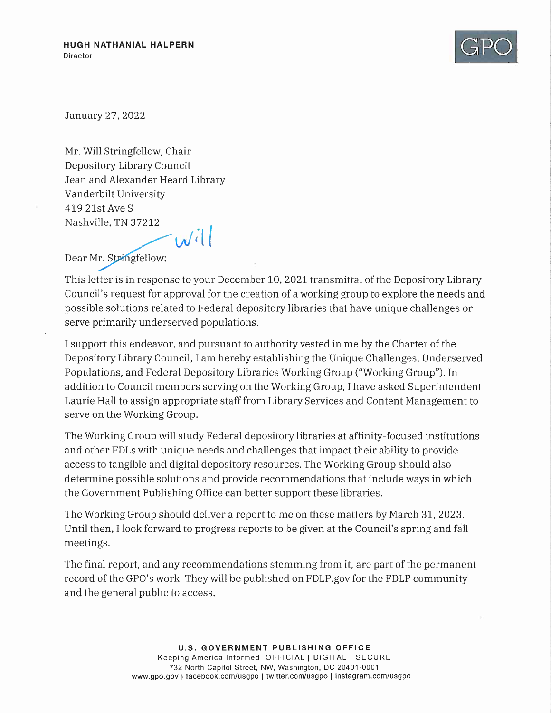

January 27,2022

Mr. Will Stringfellow, Chair Depository Library Council Jean and Alexander Heard Library Vanderbilt University 41921stAveS Nashville, TN 37212  $w^i$ 

Dear Mr. Stringfellow:

This letter is in response to your December 10, 2021 transmittal of the Depository Library Council's request for approval for the creation of a working group to explore the needs and possible solutions related to Federal depository libraries that have unique challenges or serve primarily underserved populations.

I support this endeavor, and pursuant to authority vested in me by the Charter of the Depository Library Council, I am hereby establishing the Unique Challenges, Underserved Populations, and Federal Depository Libraries Working Group ("Working Group"). In addition to Council members serving on the Working Group, I have asked Superintendent Laurie Hall to assign appropriate staff from Library Services and Content Management to serve on the Working Group.

The Working Group will study Federal depository libraries at affinity-focused institutions and other FDLs with unique needs and challenges that impact their ability to provide access to tangible and digital depository resources. The Working Group should also determine possible solutions and provide recommendations that include ways in which the Government Publishing Office can better support these libraries.

The Working Group should deliver a report to me on these matters by March 31, 2023. Until then, I look forward to progress reports to be given at the Council's spring and fall meetings.

The final report, and any recommendations stemming from it, are part of the permanent record of the GPO's work. They will be published on FDLP.gov for the FDLP community and the general public to access.